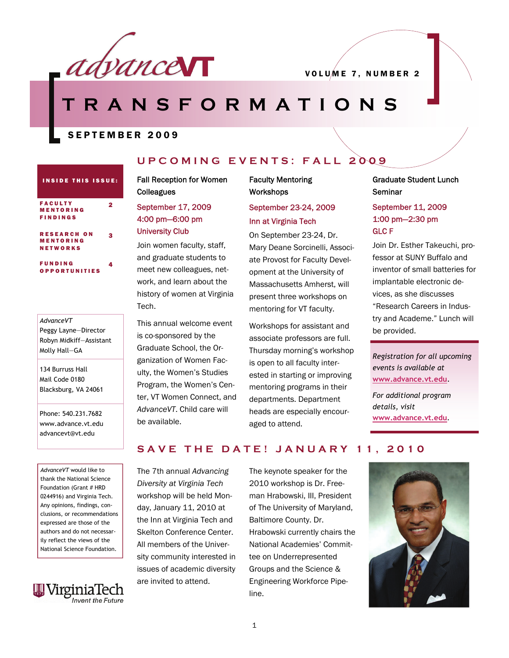

# **RANSFORMATIONS**

SEPTEMBER 2009

#### INSIDE THIS ISSUE: FACULTY MENTORING FINDINGS 2 RESEARCH ON MENTORING NETWORKS 3 FUNDING 4

OPPORTUNITIES

# *AdvanceVT*  Peggy Layne—Director Robyn Midkiff—Assistant

134 Burruss Hall Mail Code 0180 Blacksburg, VA 24061

Phone: 540.231.7682 www.advance.vt.edu advancevt@vt.edu

*AdvanceVT* would like to thank the National Science Foundation (Grant # HRD 0244916) and Virginia Tech. Any opinions, findings, conclusions, or recommendations expressed are those of the authors and do not necessarily reflect the views of the National Science Foundation.



# **UPCOMING EVENTS: FALL 2009**

#### Fall Reception for Women **Colleagues**

### September 17, 2009 4:00 pm—6:00 pm University Club

Join women faculty, staff, and graduate students to meet new colleagues, network, and learn about the history of women at Virginia Tech.

This annual welcome event is co-sponsored by the Graduate School, the Organization of Women Faculty, the Women's Studies Program, the Women's Center, VT Women Connect, and *AdvanceVT*. Child care will be available.

#### Faculty Mentoring **Workshops**

## September 23-24, 2009 Inn at Virginia Tech

On September 23-24, Dr. Mary Deane Sorcinelli, Associate Provost for Faculty Development at the University of Massachusetts Amherst, will present three workshops on mentoring for VT faculty.

Workshops for assistant and associate professors are full. Thursday morning's workshop is open to all faculty interested in starting or improving mentoring programs in their departments. Department heads are especially encouraged to attend. Molly Hall–GA Graduate School, the Or-<br>
Registration for all upcoming annization of Women Fore and the registration for all upcoming

#### Graduate Student Lunch **Seminar**

#### September 11, 2009 1:00 pm—2:30 pm GLC F

Join Dr. Esther Takeuchi, professor at SUNY Buffalo and inventor of small batteries for implantable electronic devices, as she discusses "Research Careers in Industry and Academe." Lunch will be provided.

*events is available at*  **[www.advance.vt.edu](http://www.advance.vt.edu)**.

*For additional program details, visit*  **[www.advance.vt.edu](http://www.advance.vt.edu)***.* 

# **SAVE THE DATE! JANUARY 11, 2010**

The 7th annual *Advancing Diversity at Virginia Tech*  workshop will be held Monday, January 11, 2010 at the Inn at Virginia Tech and Skelton Conference Center. All members of the University community interested in issues of academic diversity are invited to attend.

The keynote speaker for the 2010 workshop is Dr. Freeman Hrabowski, III, President of The University of Maryland, Baltimore County. Dr. Hrabowski currently chairs the National Academies' Committee on Underrepresented Groups and the Science & Engineering Workforce Pipeline.

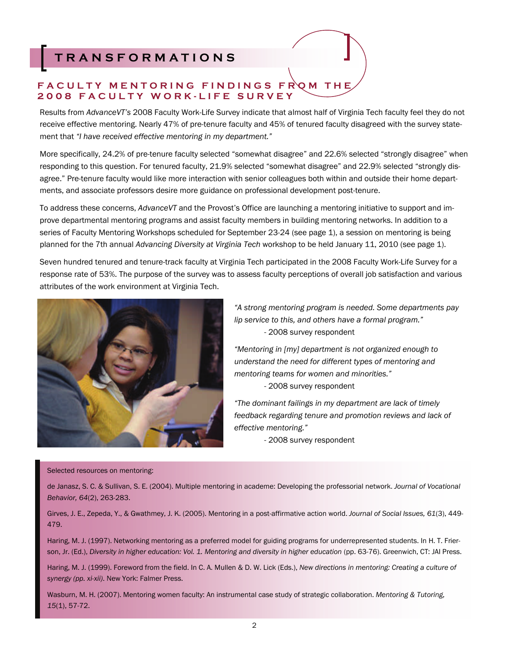# **TRANSFORMATIONS**

## **FACULTY MENTORING FINDINGS FROM THE 2008 FACULTY WORK-LIFE SURVEY**

Results from *AdvanceVT's* 2008 Faculty Work-Life Survey indicate that almost half of Virginia Tech faculty feel they do not receive effective mentoring. Nearly 47% of pre-tenure faculty and 45% of tenured faculty disagreed with the survey statement that *"I have received effective mentoring in my department."*

More specifically, 24.2% of pre-tenure faculty selected "somewhat disagree" and 22.6% selected "strongly disagree" when responding to this question. For tenured faculty, 21.9% selected "somewhat disagree" and 22.9% selected "strongly disagree." Pre-tenure faculty would like more interaction with senior colleagues both within and outside their home departments, and associate professors desire more guidance on professional development post-tenure.

To address these concerns, *AdvanceVT* and the Provost's Office are launching a mentoring initiative to support and improve departmental mentoring programs and assist faculty members in building mentoring networks. In addition to a series of Faculty Mentoring Workshops scheduled for September 23-24 (see page 1), a session on mentoring is being planned for the 7th annual *Advancing Diversity at Virginia Tech* workshop to be held January 11, 2010 (see page 1).

Seven hundred tenured and tenure-track faculty at Virginia Tech participated in the 2008 Faculty Work-Life Survey for a response rate of 53%. The purpose of the survey was to assess faculty perceptions of overall job satisfaction and various attributes of the work environment at Virginia Tech.



*"A strong mentoring program is needed. Some departments pay lip service to this, and others have a formal program."*  - 2008 survey respondent

*"Mentoring in [my] department is not organized enough to understand the need for different types of mentoring and mentoring teams for women and minorities."*  - 2008 survey respondent

*"The dominant failings in my department are lack of timely feedback regarding tenure and promotion reviews and lack of effective mentoring."* 

- 2008 survey respondent

Selected resources on mentoring:

de Janasz, S. C. & Sullivan, S. E. (2004). Multiple mentoring in academe: Developing the professorial network. *Journal of Vocational Behavior, 64*(2), 263-283.

Girves, J. E., Zepeda, Y., & Gwathmey, J. K. (2005). Mentoring in a post-affirmative action world. *Journal of Social Issues, 61*(3), 449- 479.

Haring, M. J. (1997). Networking mentoring as a preferred model for guiding programs for underrepresented students. In H. T. Frierson, Jr. (Ed.), *Diversity in higher education: Vol. 1. Mentoring and diversity in higher education* (pp. 63-76). Greenwich, CT: JAI Press.

Haring, M. J. (1999). Foreword from the field. In C. A. Mullen & D. W. Lick (Eds.), *New directions in mentoring: Creating a culture of synergy (pp. xi-xii)*. New York: Falmer Press.

Wasburn, M. H. (2007). Mentoring women faculty: An instrumental case study of strategic collaboration. *Mentoring & Tutoring, 15*(1), 57-72.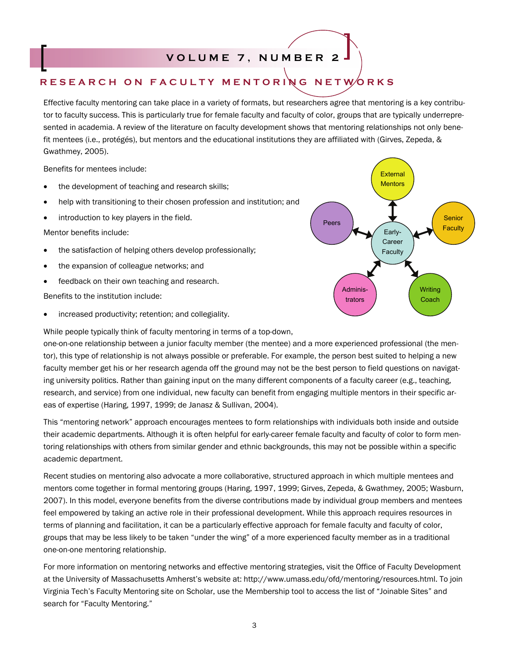# **VOLUME 7, NUMBER 2**

# **RESEARCH ON FACULTY MENTORING NETWORKS**

Effective faculty mentoring can take place in a variety of formats, but researchers agree that mentoring is a key contributor to faculty success. This is particularly true for female faculty and faculty of color, groups that are typically underrepresented in academia. A review of the literature on faculty development shows that mentoring relationships not only benefit mentees (i.e., protégés), but mentors and the educational institutions they are affiliated with (Girves, Zepeda, & Gwathmey, 2005).

Benefits for mentees include:

- the development of teaching and research skills;
- help with transitioning to their chosen profession and institution; and
- **•** introduction to key players in the field.

Mentor benefits include:

- the satisfaction of helping others develop professionally;
- the expansion of colleague networks; and
- feedback on their own teaching and research.

Benefits to the institution include:

increased productivity; retention; and collegiality.

While people typically think of faculty mentoring in terms of a top-down,

one-on-one relationship between a junior faculty member (the mentee) and a more experienced professional (the mentor), this type of relationship is not always possible or preferable. For example, the person best suited to helping a new faculty member get his or her research agenda off the ground may not be the best person to field questions on navigating university politics. Rather than gaining input on the many different components of a faculty career (e.g., teaching, research, and service) from one individual, new faculty can benefit from engaging multiple mentors in their specific areas of expertise (Haring, 1997, 1999; de Janasz & Sullivan, 2004).

This "mentoring network" approach encourages mentees to form relationships with individuals both inside and outside their academic departments. Although it is often helpful for early-career female faculty and faculty of color to form mentoring relationships with others from similar gender and ethnic backgrounds, this may not be possible within a specific academic department.

Recent studies on mentoring also advocate a more collaborative, structured approach in which multiple mentees and mentors come together in formal mentoring groups (Haring, 1997, 1999; Girves, Zepeda, & Gwathmey, 2005; Wasburn, 2007). In this model, everyone benefits from the diverse contributions made by individual group members and mentees feel empowered by taking an active role in their professional development. While this approach requires resources in terms of planning and facilitation, it can be a particularly effective approach for female faculty and faculty of color, groups that may be less likely to be taken "under the wing" of a more experienced faculty member as in a traditional one-on-one mentoring relationship.

For more information on mentoring networks and effective mentoring strategies, visit the Office of Faculty Development at the University of Massachusetts Amherst's website at: http://www.umass.edu/ofd/mentoring/resources.html. To join Virginia Tech's Faculty Mentoring site on Scholar, use the Membership tool to access the list of "Joinable Sites" and search for "Faculty Mentoring."